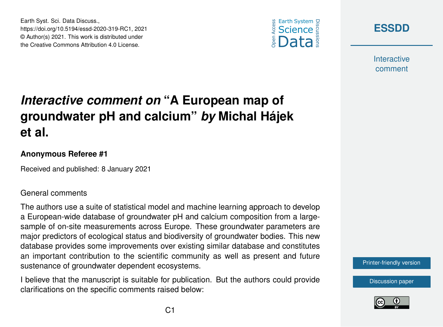





**Interactive** comment

# *Interactive comment on* **"A European map of groundwater pH and calcium"** *by* **Michal Hájek et al.**

### **Anonymous Referee #1**

Received and published: 8 January 2021

### General comments

The authors use a suite of statistical model and machine learning approach to develop a European-wide database of groundwater pH and calcium composition from a largesample of on-site measurements across Europe. These groundwater parameters are major predictors of ecological status and biodiversity of groundwater bodies. This new database provides some improvements over existing similar database and constitutes an important contribution to the scientific community as well as present and future sustenance of groundwater dependent ecosystems.

I believe that the manuscript is suitable for publication. But the authors could provide clarifications on the specific comments raised below:

#### [Printer-friendly version](https://essd.copernicus.org/preprints/essd-2020-319/essd-2020-319-RC1-print.pdf)

[Discussion paper](https://essd.copernicus.org/preprints/essd-2020-319)